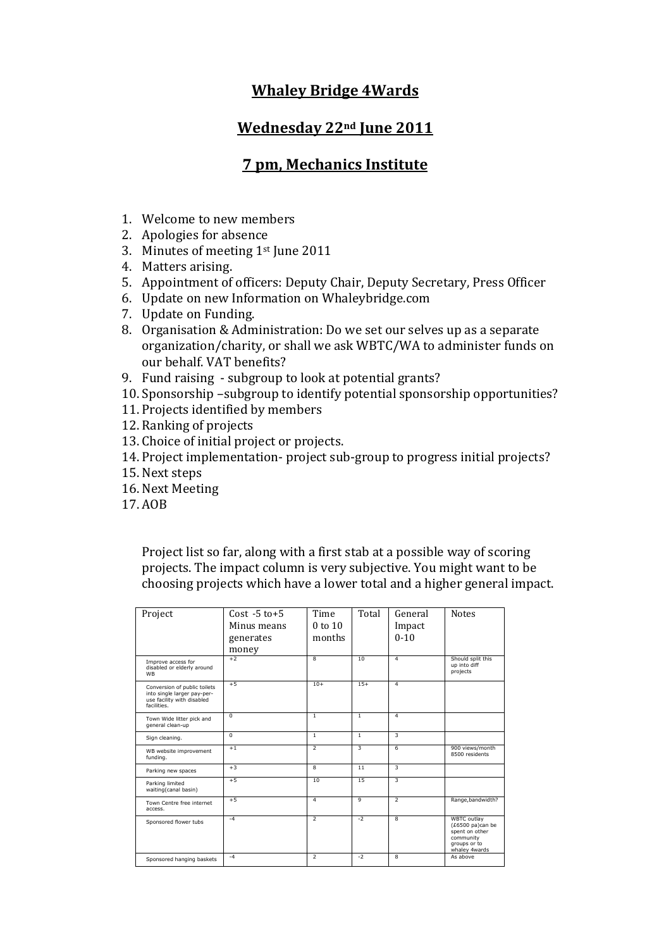## **Whaley Bridge 4Wards**

## **Wednesday 22nd June 2011**

## **7 pm, Mechanics Institute**

- 1. Welcome to new members
- 2. Apologies for absence
- 3. Minutes of meeting 1st June 2011
- 4. Matters arising.
- 5. Appointment of officers: Deputy Chair, Deputy Secretary, Press Officer
- 6. Update on new Information on Whaleybridge.com
- 7. Update on Funding.
- 8. Organisation & Administration: Do we set our selves up as a separate organization/charity, or shall we ask WBTC/WA to administer funds on our behalf. VAT benefits?
- 9. Fund raising subgroup to look at potential grants?
- 10. Sponsorship –subgroup to identify potential sponsorship opportunities?
- 11. Projects identified by members
- 12. Ranking of projects
- 13. Choice of initial project or projects.
- 14. Project implementation- project sub-group to progress initial projects?
- 15. Next steps
- 16. Next Meeting
- 17. AOB

Project list so far, along with a first stab at a possible way of scoring projects. The impact column is very subjective. You might want to be choosing projects which have a lower total and a higher general impact.

| Project                                                                                                  | $Cost - 5 to + 5$<br>Minus means<br>generates<br>money | Time<br>$0$ to $10$<br>months | Total          | General<br>Impact<br>$0 - 10$ | <b>Notes</b>                                                                                           |
|----------------------------------------------------------------------------------------------------------|--------------------------------------------------------|-------------------------------|----------------|-------------------------------|--------------------------------------------------------------------------------------------------------|
| Improve access for<br>disabled or elderly around<br><b>WB</b>                                            | $+2$                                                   | 8                             | 10             | $\overline{a}$                | Should split this<br>up into diff<br>projects                                                          |
| Conversion of public toilets<br>into single larger pay-per-<br>use facility with disabled<br>facilities. | $+5$                                                   | $10+$                         | $15+$          | $\overline{4}$                |                                                                                                        |
| Town Wide litter pick and<br>general clean-up                                                            | $\Omega$                                               | $\mathbf{1}$                  | 1              | $\overline{4}$                |                                                                                                        |
| Sign cleaning.                                                                                           | $\overline{0}$                                         | T                             | T              | 3                             |                                                                                                        |
| WB website improvement<br>funding.                                                                       | $+1$                                                   | 7                             | 3              | $6 \overline{6}$              | 900 views/month<br>8500 residents                                                                      |
| Parking new spaces                                                                                       | $+3$                                                   | 8                             | 11             | 3                             |                                                                                                        |
| Parking limited<br>waiting(canal basin)                                                                  | $+5$                                                   | 10                            | 15             | 3                             |                                                                                                        |
| Town Centre free internet<br>access.                                                                     | $+5$                                                   | 4                             | $\overline{9}$ | $\overline{2}$                | Range, bandwidth?                                                                                      |
| Sponsored flower tubs                                                                                    | $-4$                                                   | $\overline{2}$                | $-2$           | $\overline{8}$                | <b>WBTC</b> outlay<br>(£6500 pa)can be<br>spent on other<br>community<br>groups or to<br>whaley 4wards |
| Sponsored hanging baskets                                                                                | $-4$                                                   | $\overline{2}$                | $-2$           | 8                             | As above                                                                                               |